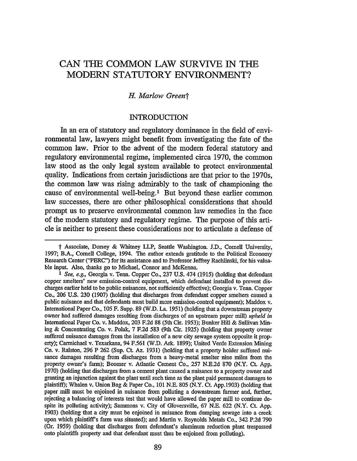# CAN THE COMMON LAW SURVIVE IN THE MODERN STATUTORY ENVIRONMENT?

## *H. Marlow Greent*

#### INTRODUCTION

In an era of statutory and regulatory dominance in the field of environmental law, lawyers might benefit from investigating the fate of the common law. Prior to the advent of the modem federal statutory and regulatory environmental regime, implemented circa 1970, the common law stood as the only legal system available to protect environmental quality. Indications from certain jurisdictions are that prior to the 1970s, the common law was rising admirably to the task of championing the cause of environmental well-being.<sup>1</sup> But beyond these earlier common law successes, there are other philosophical considerations that should prompt us to preserve environmental common law remedies in the face of the modem statutory and regulatory regime. The purpose of this article is neither to present these considerations nor to articulate a defense of

t Associate, Dorsey & Whitney LLP, Seattle Washington. J.D., Cornell University, 1997; B.A., Cornell College, 1994. The author extends gratitude to the Political Economy Research Center ("PERC") for its assistance and to Professor Jeffrey Rachlinski, for his valuable input. Also, thanks go to Michael, Connor and McKenna.

<sup>1</sup>*See, e.g.,* Georgia v. Tenn. Copper Co., 237 U.S. 474 (1915) (holding that defendant copper smelters' new emission-control equipment, which defendant installed to prevent discharges earlier held to be public nuisances, not sufficiently effective); Georgia v. Tenn. Copper Co., 206 U.S. 230 (1907) (holding that discharges from defendant copper smelters caused a public nuisance and that defendants must build more emission-control equipment); Maddox v. International Paper Co., 105 F. Supp. 89 (W.D. La. 1951) (holding that a downstream property owner had suffered damages resulting from discharges of an upstream paper mill) *upheld in*  International Paper Co. v. Maddox, 203 F.2d 88 (5th Cir. 1953); Bunker Hill & Sullivan Mining & Concentrating Co. v. Polak, 7 F.2d 583 (9th Cir. 1925) (holding that property owner suffered nuisance damages from the installation of a new city sewage system opposite it property); Carmichael v. Texarkana, 94 F.561 (W.D. Ark. 1899); United Verde Extension Mining Co. v. Ralston, 296 P 262 (Sup. Ct Az. 1931) (holding that a property holder suffered nuisance damages resulting from discharges from a heavy-metal smelter nine miles from the property owner's farm); Boomer v. Atlantic Cement Co., 257 N.E.2d 870 (N.Y. Ct. App. 1970) (holding that discharges from a cement plant caused a nuisance to a property owner and granting an injunction against the plant until such time as the plant paid permanent damages to <sup>p</sup>laintiff); Whalen v. Union Bag & Paper Co., 101 N.E. 805 (N.Y. Ct App.1903) (holding that paper mill must be enjoined in nuisance from polluting a downstream farmer and, further, rejecting a balancing of interests test that would have allowed the paper mill to continue despite its polluting activity); Sammons v. City of Gloversville, 67 N.E. 622 (N.Y. Ct. App. 1903) (holding that a city must be enjoined in nuisance from dumping sewage into a creek upon which plaintiff's farm was situated); and Martin v. Reynolds Metals Co., 342 P.2d 790 (Or. 1959) (holding that discharges from defendant's aluminum reduction plant trespassed onto plaintiffs property and that defendant must thus be enjoined from polluting).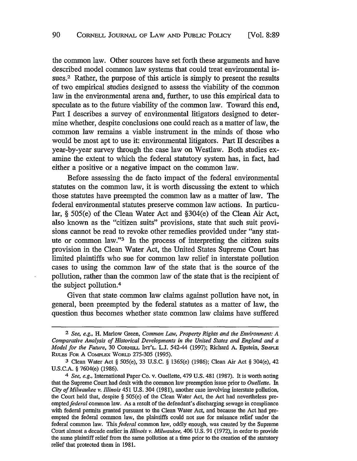the common law. Other sources have set forth these arguments and have described model common law systems that could treat environmental issues.<sup>2</sup> Rather, the purpose of this article is simply to present the results of two empirical studies designed to assess the viability of the common law in the environmental arena and, further, to use this empirical data to speculate as to the future viability of the common law. Toward this end, Part I describes a survey of environmental litigators designed to determine whether, despite conclusions one could reach as a matter of law, the common law remains a viable instrument in the minds of those who would be most apt to use it: environmental litigators. Part II describes a year-by-year survey through the case law on Westlaw. Both studies examine the extent to which the federal statutory system has, in fact, had either a positive or a negative impact on the common law.

Before assessing the de facto impact of the federal environmental statutes on the common law, it is worth discussing the extent to which those statutes have preempted the common law as a matter of law. The federal environmental statutes preserve common law actions. In particular, § 505(e) of the Clean Water Act and §304(e) of the Clean Air Act, also known as the "citizen suits" provisions, state that such suit provisions cannot be read to revoke other remedies provided under "any statute or common law."3 In the process of interpreting the citizen suits provision in the Clean Water Act, the United States Supreme Court has limited plaintiffs who sue for common law relief in interstate pollution cases to using the common law of the state that is the source of the pollution, rather than the common law of the state that is the recipient of the subject pollution.<sup>4</sup>

Given that state common law claims against pollution have not, in general, been preempted by the federal statutes as a matter of law, the question thus becomes whether state common law claims have suffered

<sup>2</sup> *See, e.g.,* H. Marlow Green, *Common Law, Property Rights and the Environment: A Comparative Analysis of Historical Developments in the United States and England and a Model for the Future,* 30 CORNELL INr'L. L.J. 542-44 (1997); Richard A. Epstein, SIMPLE RULES FOR A COMPLEX WORLD 275-305 (1995).

<sup>3</sup> Clean Water Act § 505(e), 33 U.S.C. § 1365(e) (1986); Clean Air Act § 304(e), 42 U.S.C.A. § 7604(e) (1986).

<sup>4</sup> *See, e.g.,* International Paper Co. v. Ouellette, 479 U.S. 481 (1987). It is worth noting that the Supreme Court had dealt with the common law preemption issue prior to *Ouellette.* In *City of Milwaukee v. Illinois* 451 U.S. 304 (1981), another case involving interstate pollution, the Court held that, despite § 505(e) of the Clean Water Act, the Act had nevertheless preempted *federal* common law. As a result of the defendant's discharging sewage in compliance with federal permits granted pursuant to the Clean Water Act, and because the Act had preempted the federal common law, the plaintiffs could not sue for nuisance relief under the federal common law. This *federal* common law, oddly enough, was created by the Supreme Court almost a decade earlier in *Illinois v. Milwaukee,* 406 U.S. 91 (1972), in order to provide the same plaintiff relief from the same pollution at a time prior to the creation of the statutory **raliaf that protected them in 1081**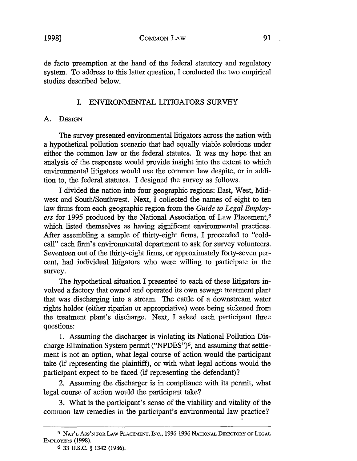## 1998] COMMON LAW 91

de facto preemption at the hand of the federal statutory and regulatory system. To address to this latter question, I conducted the two empirical studies described below.

## I. ENVIRONMENTAL LffiGATORS SURVEY

## A. DESIGN

The survey presented environmental litigators across the nation with a hypothetical pollution scenario that had equally viable solutions under either the common law or the federal statutes. It was my hope that an analysis of the responses would provide insight into the extent to which environmental litigators would use the common law despite, or in addition to, the federal statutes. I designed the survey as follows.

I divided the nation into four geographic regions: East, West, Midwest and South/Southwest. Next, I collected the names of eight to ten law firms from each geographic region from the *Guide to Legal Employ*ers for 1995 produced by the National Association of Law Placement,<sup>5</sup> which listed themselves as having significant environmental practices. After assembling a sample of thirty-eight firms, I proceeded to "coldcall" each firm's environmental department to ask for survey volunteers. Seventeen out of the thirty-eight firms, or approximately forty-seven percent, had individual litigators who were willing to participate in the survey.

The hypothetical situation I presented to each of these litigators involved a factory that owned and operated its own sewage treatment plant that was discharging into a stream. The cattle of a downstream water rights holder (either riparian or appropriative) were being sickened from the treatment plant's discharge. Next, I asked each participant three questions:

1. Assuming the discharger is violating its National Pollution Discharge Elimination System permit ("NPDES")6, and assuming that settlement is not an option, what legal course of action would the participant take (if representing the plaintiff), or with what legal actions would the participant expect to be faced (if representing the defendant)?

2. Assuming the discharger is in compliance with its permit, what legal course of action would the participant take?

3. What is the participant's sense of the viability and vitality of the common law remedies in the participant's environmental law practice?

<sup>5</sup> NAT'L Ass'N FOR LAW PLACEMENT, !Ne., 1996-1996 NATIONAL DIRECTORY OF LEGAL EMPLOYERS (1998).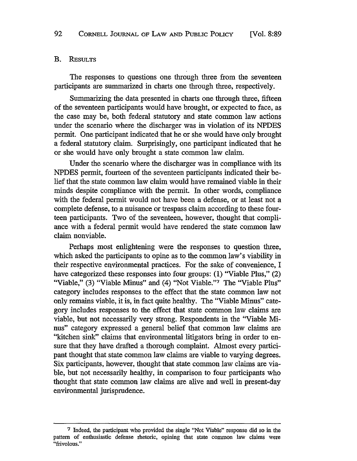#### B. REsULTS

The responses to questions one through three from the seventeen participants are summarized in charts one through three, respectively.

Summarizing the data presented in charts one through three, fifteen of the seventeen participants would have brought, or expected to face, as the case may be, both federal statutory and state common law actions under the scenario where the discharger was in violation of its NPDES permit. One participant indicated that he or she would have only brought a federal statutory claim. Surprisingly, one participant indicated that he or she would have only brought a state common law claim.

Under the scenario where the discharger was in compliance with its NPDES permit, fourteen of the seventeen participants indicated their belief that the state common law claim would have remained viable in their minds despite compliance with the permit. In other words, compliance with the federal permit would not have been a defense, or at least not a complete defense, to a nuisance or trespass claim according to these fourteen participants. Two of the seventeen, however, thought that compliance with a federal permit would have rendered the state common law claim nonviable.

Perhaps most enlightening were the responses to question three, which asked the participants to opine as to the common law's viability in their respective environmental practices. For the sake of convenience, I have categorized these responses into four groups: (1) "Viable Plus," (2) "Viable," (3) "Viable Minus" and (4) "Not Viable."7 The "Viable Plus" category includes responses to the effect that the state common law not only remains viable, it is, in fact quite healthy. The "Viable Minus" category includes responses to the effect that state common law claims are viable, but not necessarily very strong. Respondents in the "Viable Minus" category expressed a general belief that common law claims are "kitchen sink" claims that environmental litigators bring in order to ensure that they have drafted a thorough complaint. Almost every participant thought that state common law claims are viable to varying degrees. Six participants, however, thought that state common law claims are viable, but not necessarily healthy, in comparison to four participants who thought that state common law claims are alive and well in present-day environmental jurisprudence.

<sup>7</sup> Indeed, the participant who provided the single "Not Viable" response did so in the pattern of enthusiastic defense rhetoric, opining that state common law claims were "fri olous."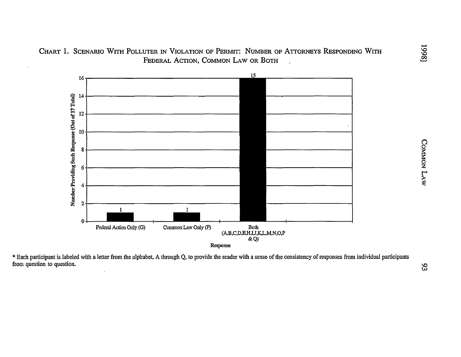CHART 1. SCENARIO WITH POLLUTER IN VIOLATION OF PERMIT: NUMBER OF ATTORNEYS RESPONDING WITH FEDERAL ACTION, COMMON LAW OR BOTH



Each participant is labeled with a letter from the alphabet, A through Q, to provide the reader with a sense of the consistency of responses from individual participants om question to question.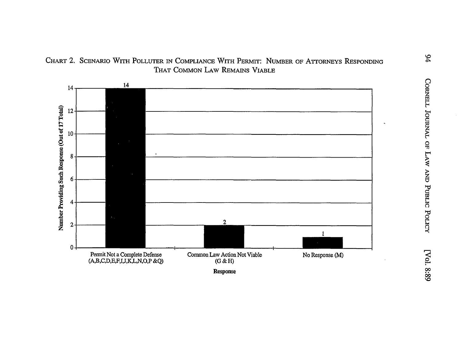# CHART 2. SCENARIO WITH POLLUTER IN COMPLIANCE WITH PERMIT: NUMBER OF ATTORNEYS RESPONDING THAT COMMON LAW REMAINS VIABLE



Response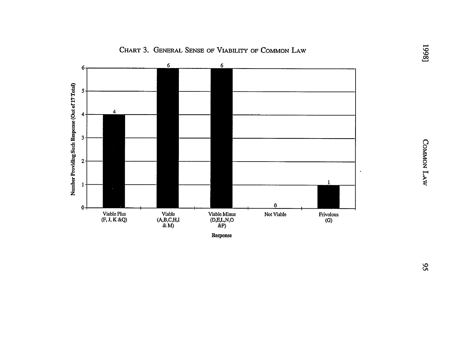

## CHART 3. GENERAL SENSE OF VIABILITY OF COMMON LAW

 ${\bf Response}$ 

COMMON LAW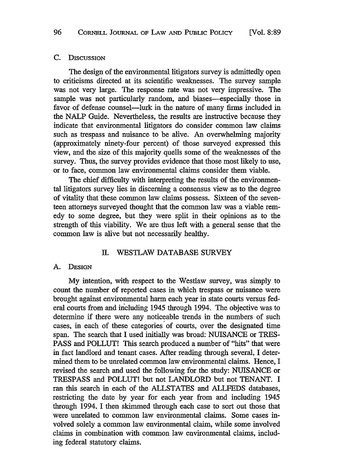#### C. DISCUSSION

The design of the environmental litigators survey is admittedly open to criticisms directed at its scientific weaknesses. The survey sample was not very large. The response rate was not very impressive. The sample was not particularly random, and biases—especially those in favor of defense counsel—lurk in the nature of many firms included in the NALP Guide. Nevertheless, the results are instructive because they indicate that environmental litigators do consider common law claims such as trespass and nuisance to be alive. An overwhelming majority (approximately ninety-four percent) of those surveyed expressed this view, and the size of this majority quells some of the weaknesses of the survey. Thus, the survey provides evidence that those most likely to use, or to face, common law environmental claims consider them viable.

The chief difficulty with interpreting the results of the environmental litigators survey lies in discerning a consensus view as to the degree of vitality that these common law claims possess. Sixteen of the seventeen attorneys surveyed thought that the common law was a viable remedy to some degree, but they were split in their opinions as to the strength of this viability. We are thus left with a general sense that the common law is alive but not necessarily healthy.

#### II. WESTLAW DATABASE SURVEY

#### A. DESIGN

My intention, with respect to the Westlaw survey, was simply to count the number of reported cases in which trespass or nuisance were brought against environmental harm each year in state courts versus federal courts from and including 1945 through 1994. The objective was to determine if there were any noticeable trends in the numbers of such cases, in each of these categories of courts, over the designated time span. The search that I used initially was broad: NUISANCE or TRES-PASS and POLLUT! This search produced a number of "hits" that were in fact landlord and tenant cases. After reading through several, I determined them to be unrelated common law environmental claims. Hence, I revised the search and used the following for the study: NUISANCE or TRESPASS and POLLUT! but not LANDLORD but not TENANT. I ran this search in each of the ALLSTATES and ALLFEDS databases, restricting the date by year for each year from and including 1945 through 1994. I then skimmed through each case to sort out those that were unrelated to common law environmental claims. Some cases involved solely a common law environmental claim, while some involved claims in combination with common law environmental claims, including federal statutory claims.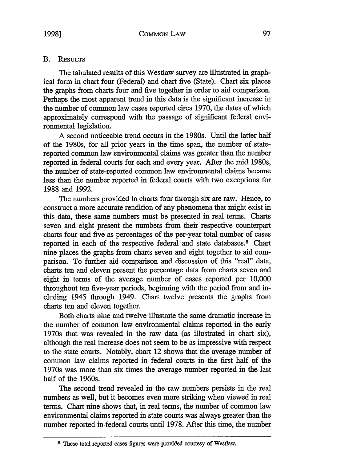## **B. REsULTS**

The tabulated results of this Westlaw survey are illustrated in graphical form in chart four (Federal) and chart five (State). Chart six places the graphs from charts four and five together in order to aid comparison. Perhaps the most apparent trend in this data is the significant increase in the number of common law cases reported circa 1970, the dates of which approximately correspond with the passage of significant federal environmental legislation.

A second noticeable trend occurs in the 1980s. Until the latter half of the 1980s, for all prior years in the time span, the number of statereported common law environmental claims was greater than the number reported in federal courts for each and every year. After the mid 1980s, the number of state-reported common law environmental claims became less than the number reported in federal courts with two exceptions for 1988 and 1992.

The numbers provided in charts four through six are raw. Hence, to construct a more accurate rendition of any phenomena that might exist in this data, these same numbers must be presented in real terms. Charts seven and eight present the numbers from their respective counterpart charts four and five as percentages of the per-year total number of cases reported in each of the respective federal and state databases.<sup>8</sup> Chart nine places the graphs from charts seven and eight together to aid comparison. To further aid comparison and discussion of this "real" data, charts ten and eleven present the percentage data from charts seven and eight in terms of the average number of cases reported per 10,000 throughout ten five-year periods, beginning with the period from and including 1945 through 1949. Chart twelve presents the graphs from charts ten and eleven together.

Both charts nine and twelve illustrate the same dramatic increase in the number of common law environmental claims reported in the early 1970s that was revealed in the raw data (as illustrated in chart six), although the real increase does not seem to be as impressive with respect to the state courts. Notably, chart 12 shows that the average number of common law claims reported in federal courts in the first half of the 1970s was more than six times the average number reported in the last half of the 1960s.

The second trend revealed in the raw numbers persists in the real numbers as well, but it becomes even more striking when viewed in real terms. Chart nine shows that, in real terms, the number of common law environmental claims reported in state courts was always greater than the number reported in. federal courts until 1978. After this time, the number

<sup>8</sup> These total reported cases figures were provided courtesy of Westlaw.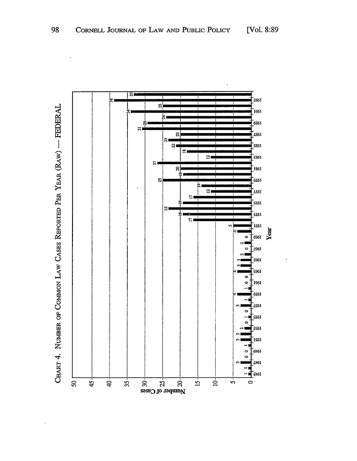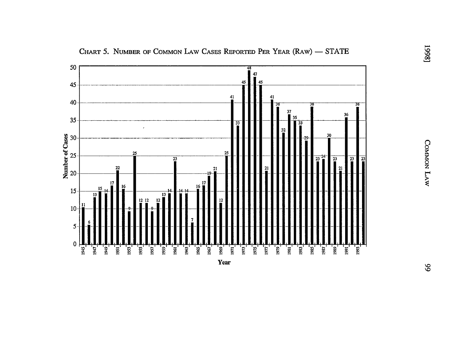

CHART 5. NUMBER OF COMMON LAW CASES REPORTED PER YEAR (RAW) - STATE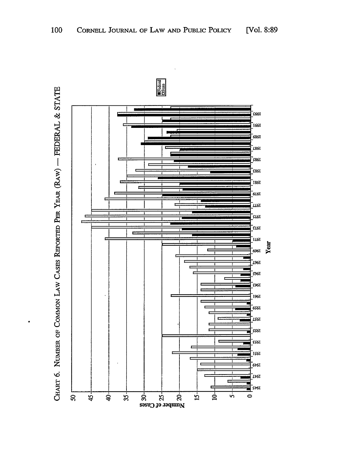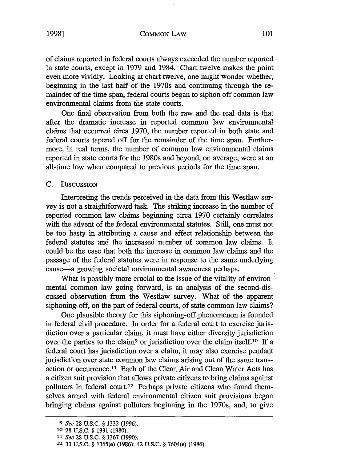of claims reported in federal courts always exceeded the number reported in state courts, except in 1979 and 1984. Chart twelve makes the point even more vividly. Looking at chart twelve, one might wonder whether, beginning in the last half of the 1970s and continuing through the remainder of the time span, federal courts began to siphon off common law environmental claims from the state courts.

One final observation from both the raw and the real data is that after the dramatic increase in reported common law environmental claims that occurred circa 1970, the number reported in both state and federal courts tapered off for the remainder of the time span. Furthermore, in real terms, the number of common law environmental claims reported in state courts for the 1980s and beyond, on average, were at an all-time low when compared to previous periods for the time span.

#### C. DISCUSSION

Interpreting the trends perceived in the data from this Westlaw survey is not a straightforward task. The striking increase in the number of reported common law claims beginning circa 1970 certainly correlates with the advent of the federal environmental statutes. Still, one must not be too hasty in attributing a cause and effect relationship between the federal statutes and the increased number of common law claims. It could be the case that both the increase in common law claims and the passage of the federal statutes were in response to the same underlying cause-a growing societal environmental awareness perhaps.

What is possibly more crucial to the issue of the vitality of environmental common law going forward, is an analysis of the second-discussed observation from the Westlaw survey. What of-the apparent siphoning-off, on the part of federal courts, of state common law claims?

One plausible theory for this siphoning-off phenomenon is founded in federal civil procedure. In order for a federal court to exercise jurisdiction over a particular claim, it must have either diversity jurisdiction over the parties to the claim<sup>9</sup> or jurisdiction over the claim itself.<sup>10</sup> If a federal court has jurisdiction over a claim, it may also exercise pendant jurisdiction over state common law claims arising out of the same transaction or occurrence.11 Each of the Clean Air and Clean Water Acts has a citizen suit provision that allows private citizens to bring claims against polluters in federal court.12 Perhaps private citizens who found themselves armed with federal environmental citizen suit provisions began bringing claims against polluters beginning in the 1970s, and, to give

<sup>9</sup> *See* 28 U.S.C. § 1332 (1996).

<sup>10 28</sup> u.s.c. § 1331 (1980).

<sup>11</sup> *See* 28 U.S.C. § 1367 (1990).

 $12$  33  $\text{H} \text{S}$   $\text{C}$   $\text{S}$   $1365(e)$   $(1986)$   $42$   $\text{H} \text{S}$   $\text{C}$   $\text{S}$   $7604(e)$   $(1986)$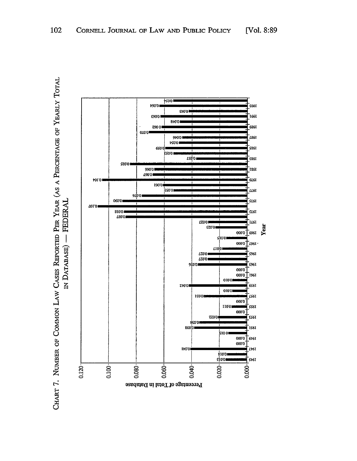

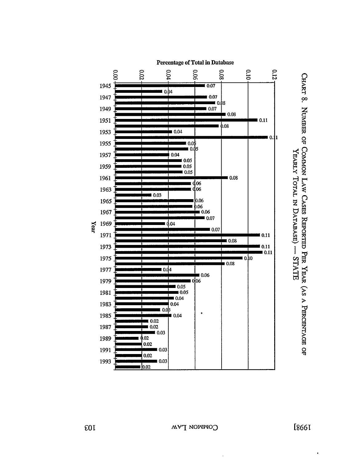

CHART 8. NUMBER OF COMMON LAW CASES REPORTED PER YEAR (AS A PERCENTAGE OF YEARLY TOTAL IN DATABASE) - STATE

 $E_{0}I$ 

[8661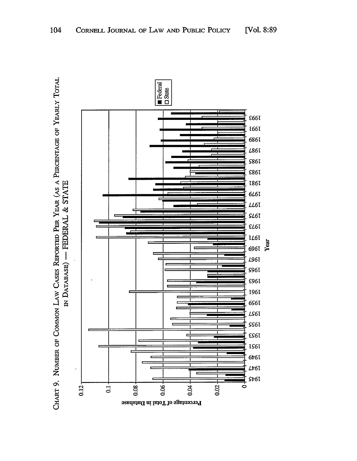

CHART 9. NUMBER OF COMMON LAW CASES REPORTED PER YEAR (AS A PERCENTAGE OF YEARLY TOTAL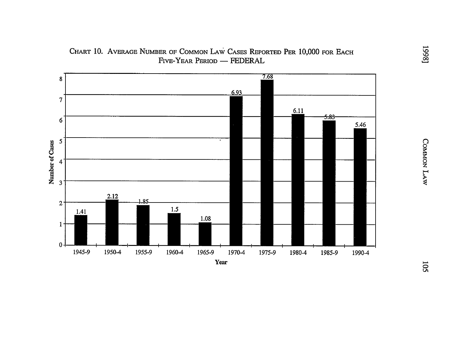

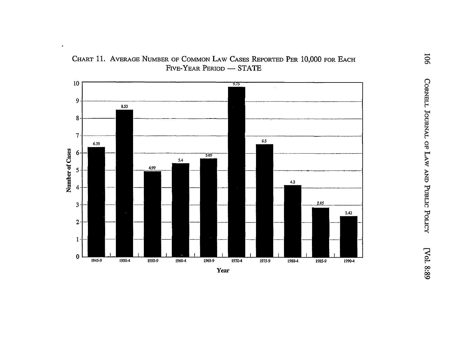

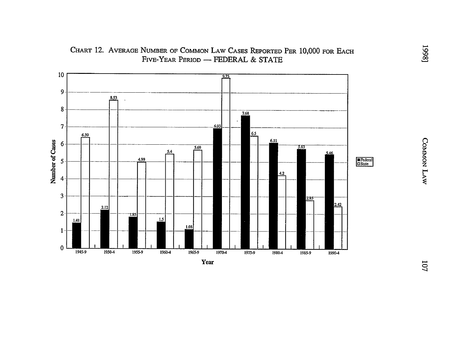

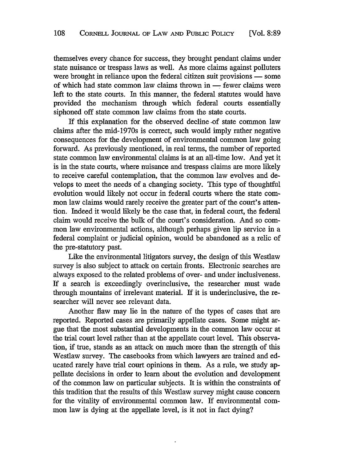themselves every chance for success, they brought pendant claims under state nuisance or trespass laws as well. As more claims against polluters were brought in reliance upon the federal citizen suit provisions — some of which had state common law claims thrown in  $-$  fewer claims were left to the state courts. In this manner, the federal statutes would have provided the mechanism through which federal courts essentially siphoned off state common law claims from the state courts.

If this explanation for the observed decline -of state common law claims after the mid-1970s is correct, such would imply rather negative consequences for the development of environmental common law going forward. As previously mentioned, in real terms, the number of reported state common law environmental claims is at an all-time low. And yet it is in the state courts, where nuisance and trespass claims are more likely to receive careful contemplation, that the common law evolves and develops to meet the needs of a changing society. This type of thoughtful evolution would likely not occur in federal courts where the state common law claims would rarely receive the greater part of the court's attention. Indeed it would likely be the case that, in federal court, the federal claim would receive the bulk of the court's consideration. And so common law environmental actions, although perhaps given lip service in a federal complaint or judicial opinion, would be abandoned as a relic of the pre-statutory past.

Like the environmental litigators survey, the design of this Westlaw survey is also subject to attack on certain fronts. Electronic searches are always exposed to the related problems of over- and under inclusiveness. If a search is exceedingly overinclusive, the researcher must wade through mountains of irrelevant material. If it is underinclusive, the researcher will never see relevant data.

Another flaw may lie in the nature of the types of cases that are reported. Reported cases are primarily appellate cases. Some might argue that the most substantial developments in the common law occur at the trial court level rather than at the appellate court level. This observation, if true, stands as an attack on much more than the strength of this Westlaw survey. The casebooks from which lawyers are trained and educated rarely have trial court opinions in them. As a rule, we study appellate decisions in order to learn about the evolution and development of the common law on particular subjects. It is within the constraints of this tradition that the results of this Westlaw survey might cause concern for the vitality of environmental common law. If environmental common law is dying at the appellate level, is it not in fact dying?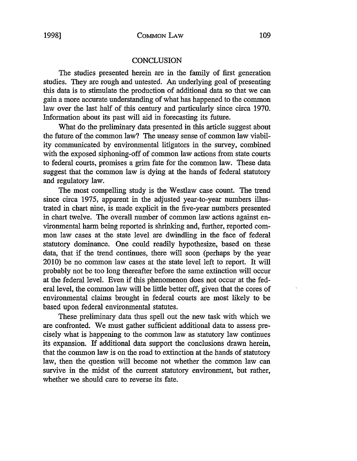## **CONCLUSION**

The studies presented herein are in the family of first generation studies. They are rough and untested. An underlying goal of presenting this data is to stimulate the production of additional data so that we can gain a more accurate understanding of what has happened to the common law over the last half of this century and particularly since circa 1970. Information about its past will aid in forecasting its future.

What do the preliminary data presented in this article suggest about the future of the common law? The uneasy sense of common law viability communicated by environmental litigators in the survey, combined with the exposed siphoning-off of common law actions from state courts to federal courts, promises a grim fate for the common law. These data suggest that the common law is dying at the hands of federal statutory and regulatory law.

The most compelling study is the Westlaw case count. The trend since circa 1975, apparent in the adjusted year-to-year numbers illustrated in chart nine, is made explicit in the five-year numbers presented in chart twelve. The overall number of common law actions against environmental harm being reported is shrinking and, further, reported common law cases at the state level are dwindling in the face of federal statutory dominance. One could readily hypothesize, based on these data, that if the trend continues, there will soon (perhaps by the year 2010) be no common law cases at the state level left to report. It will probably not be too long thereafter before the same extinction will occur at the federal level. Even if this phenomenon does not occur at the federal level, the common law will be little better off, given that the cores of environmental claims brought in federal courts are most likely to be based upon federal environmental statutes.

These preliminary data thus spell out the new task with which we are confronted. We must gather sufficient additional data to assess precisely what is happening to the common law as statutory law continues its expansion. If additional data support the conclusions drawn herein, that the common law is on the road to extinction at the hands of statutory law, then the question will become not whether the common law can survive in the midst of the current statutory environment, but rather, whether we should care to reverse its fate.